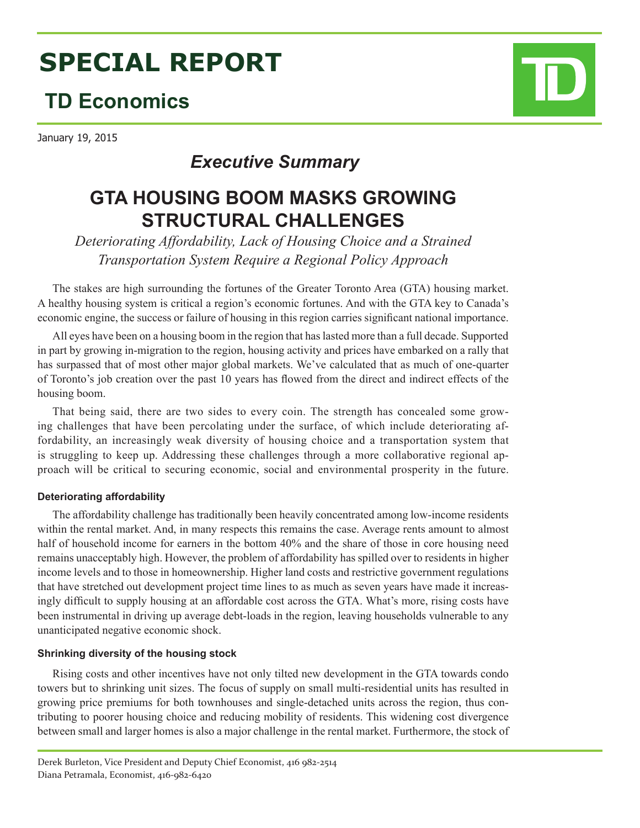# **SPECIAL REPORT**

# **TD Economics**

January 19, 2015

# *Executive Summary*

# **GTA HOUSING BOOM MASKS GROWING STRUCTURAL CHALLENGES**

*Deteriorating Affordability, Lack of Housing Choice and a Strained Transportation System Require a Regional Policy Approach*

The stakes are high surrounding the fortunes of the Greater Toronto Area (GTA) housing market. A healthy housing system is critical a region's economic fortunes. And with the GTA key to Canada's economic engine, the success or failure of housing in this region carries significant national importance.

All eyes have been on a housing boom in the region that has lasted more than a full decade. Supported in part by growing in-migration to the region, housing activity and prices have embarked on a rally that has surpassed that of most other major global markets. We've calculated that as much of one-quarter of Toronto's job creation over the past 10 years has flowed from the direct and indirect effects of the housing boom.

That being said, there are two sides to every coin. The strength has concealed some growing challenges that have been percolating under the surface, of which include deteriorating affordability, an increasingly weak diversity of housing choice and a transportation system that is struggling to keep up. Addressing these challenges through a more collaborative regional approach will be critical to securing economic, social and environmental prosperity in the future.

# **Deteriorating affordability**

The affordability challenge has traditionally been heavily concentrated among low-income residents within the rental market. And, in many respects this remains the case. Average rents amount to almost half of household income for earners in the bottom 40% and the share of those in core housing need remains unacceptably high. However, the problem of affordability has spilled over to residents in higher income levels and to those in homeownership. Higher land costs and restrictive government regulations that have stretched out development project time lines to as much as seven years have made it increasingly difficult to supply housing at an affordable cost across the GTA. What's more, rising costs have been instrumental in driving up average debt-loads in the region, leaving households vulnerable to any unanticipated negative economic shock.

# **Shrinking diversity of the housing stock**

Rising costs and other incentives have not only tilted new development in the GTA towards condo towers but to shrinking unit sizes. The focus of supply on small multi-residential units has resulted in growing price premiums for both townhouses and single-detached units across the region, thus contributing to poorer housing choice and reducing mobility of residents. This widening cost divergence between small and larger homes is also a major challenge in the rental market. Furthermore, the stock of



Derek Burleton, Vice President and Deputy Chief Economist, 416 982-2514 Diana Petramala, Economist, 416-982-6420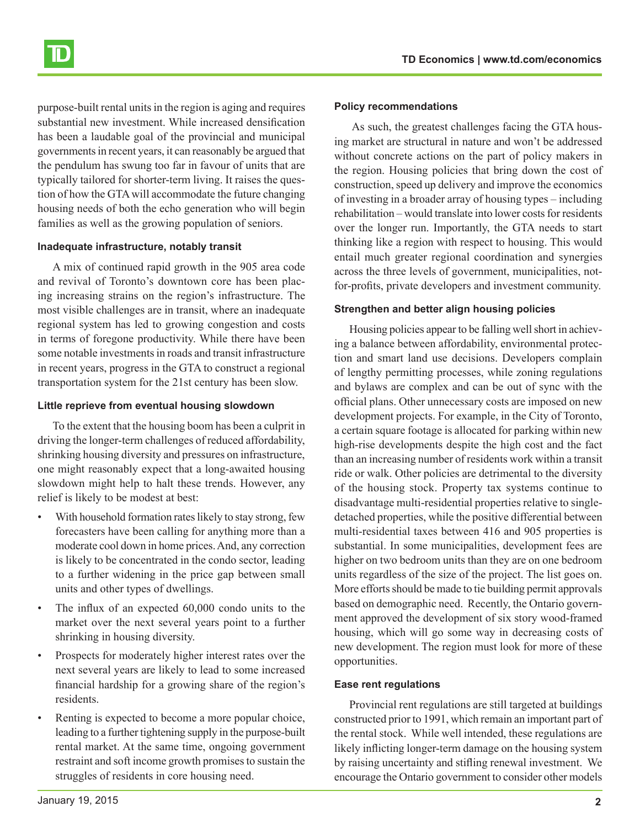

purpose-built rental units in the region is aging and requires substantial new investment. While increased densification has been a laudable goal of the provincial and municipal governments in recent years, it can reasonably be argued that the pendulum has swung too far in favour of units that are typically tailored for shorter-term living. It raises the question of how the GTA will accommodate the future changing housing needs of both the echo generation who will begin families as well as the growing population of seniors.

#### **Inadequate infrastructure, notably transit**

A mix of continued rapid growth in the 905 area code and revival of Toronto's downtown core has been placing increasing strains on the region's infrastructure. The most visible challenges are in transit, where an inadequate regional system has led to growing congestion and costs in terms of foregone productivity. While there have been some notable investments in roads and transit infrastructure in recent years, progress in the GTA to construct a regional transportation system for the 21st century has been slow.

#### **Little reprieve from eventual housing slowdown**

To the extent that the housing boom has been a culprit in driving the longer-term challenges of reduced affordability, shrinking housing diversity and pressures on infrastructure, one might reasonably expect that a long-awaited housing slowdown might help to halt these trends. However, any relief is likely to be modest at best:

- With household formation rates likely to stay strong, few forecasters have been calling for anything more than a moderate cool down in home prices. And, any correction is likely to be concentrated in the condo sector, leading to a further widening in the price gap between small units and other types of dwellings.
- The influx of an expected  $60,000$  condo units to the market over the next several years point to a further shrinking in housing diversity.
- Prospects for moderately higher interest rates over the next several years are likely to lead to some increased financial hardship for a growing share of the region's residents.
- Renting is expected to become a more popular choice, leading to a further tightening supply in the purpose-built rental market. At the same time, ongoing government restraint and soft income growth promises to sustain the struggles of residents in core housing need.

# **Policy recommendations**

 As such, the greatest challenges facing the GTA housing market are structural in nature and won't be addressed without concrete actions on the part of policy makers in the region. Housing policies that bring down the cost of construction, speed up delivery and improve the economics of investing in a broader array of housing types – including rehabilitation – would translate into lower costs for residents over the longer run. Importantly, the GTA needs to start thinking like a region with respect to housing. This would entail much greater regional coordination and synergies across the three levels of government, municipalities, notfor-profits, private developers and investment community.

# **Strengthen and better align housing policies**

Housing policies appear to be falling well short in achieving a balance between affordability, environmental protection and smart land use decisions. Developers complain of lengthy permitting processes, while zoning regulations and bylaws are complex and can be out of sync with the official plans. Other unnecessary costs are imposed on new development projects. For example, in the City of Toronto, a certain square footage is allocated for parking within new high-rise developments despite the high cost and the fact than an increasing number of residents work within a transit ride or walk. Other policies are detrimental to the diversity of the housing stock. Property tax systems continue to disadvantage multi-residential properties relative to singledetached properties, while the positive differential between multi-residential taxes between 416 and 905 properties is substantial. In some municipalities, development fees are higher on two bedroom units than they are on one bedroom units regardless of the size of the project. The list goes on. More efforts should be made to tie building permit approvals based on demographic need. Recently, the Ontario government approved the development of six story wood-framed housing, which will go some way in decreasing costs of new development. The region must look for more of these opportunities.

# **Ease rent regulations**

Provincial rent regulations are still targeted at buildings constructed prior to 1991, which remain an important part of the rental stock. While well intended, these regulations are likely inflicting longer-term damage on the housing system by raising uncertainty and stifling renewal investment. We encourage the Ontario government to consider other models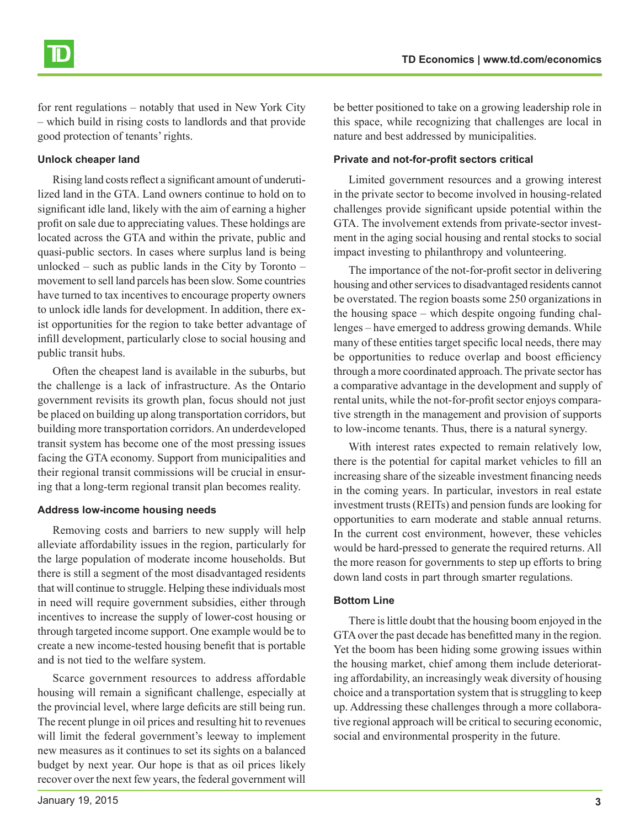for rent regulations – notably that used in New York City – which build in rising costs to landlords and that provide good protection of tenants' rights.

## **Unlock cheaper land**

Rising land costs reflect a significant amount of underutilized land in the GTA. Land owners continue to hold on to significant idle land, likely with the aim of earning a higher profit on sale due to appreciating values. These holdings are located across the GTA and within the private, public and quasi-public sectors. In cases where surplus land is being unlocked – such as public lands in the City by Toronto – movement to sell land parcels has been slow. Some countries have turned to tax incentives to encourage property owners to unlock idle lands for development. In addition, there exist opportunities for the region to take better advantage of infill development, particularly close to social housing and public transit hubs.

Often the cheapest land is available in the suburbs, but the challenge is a lack of infrastructure. As the Ontario government revisits its growth plan, focus should not just be placed on building up along transportation corridors, but building more transportation corridors. An underdeveloped transit system has become one of the most pressing issues facing the GTA economy. Support from municipalities and their regional transit commissions will be crucial in ensuring that a long-term regional transit plan becomes reality.

# **Address low-income housing needs**

Removing costs and barriers to new supply will help alleviate affordability issues in the region, particularly for the large population of moderate income households. But there is still a segment of the most disadvantaged residents that will continue to struggle. Helping these individuals most in need will require government subsidies, either through incentives to increase the supply of lower-cost housing or through targeted income support. One example would be to create a new income-tested housing benefit that is portable and is not tied to the welfare system.

Scarce government resources to address affordable housing will remain a significant challenge, especially at the provincial level, where large deficits are still being run. The recent plunge in oil prices and resulting hit to revenues will limit the federal government's leeway to implement new measures as it continues to set its sights on a balanced budget by next year. Our hope is that as oil prices likely recover over the next few years, the federal government will

be better positioned to take on a growing leadership role in this space, while recognizing that challenges are local in nature and best addressed by municipalities.

## **Private and not-for-profit sectors critical**

Limited government resources and a growing interest in the private sector to become involved in housing-related challenges provide significant upside potential within the GTA. The involvement extends from private-sector investment in the aging social housing and rental stocks to social impact investing to philanthropy and volunteering.

The importance of the not-for-profit sector in delivering housing and other services to disadvantaged residents cannot be overstated. The region boasts some 250 organizations in the housing space – which despite ongoing funding challenges – have emerged to address growing demands. While many of these entities target specific local needs, there may be opportunities to reduce overlap and boost efficiency through a more coordinated approach. The private sector has a comparative advantage in the development and supply of rental units, while the not-for-profit sector enjoys comparative strength in the management and provision of supports to low-income tenants. Thus, there is a natural synergy.

With interest rates expected to remain relatively low, there is the potential for capital market vehicles to fill an increasing share of the sizeable investment financing needs in the coming years. In particular, investors in real estate investment trusts (REITs) and pension funds are looking for opportunities to earn moderate and stable annual returns. In the current cost environment, however, these vehicles would be hard-pressed to generate the required returns. All the more reason for governments to step up efforts to bring down land costs in part through smarter regulations.

# **Bottom Line**

There is little doubt that the housing boom enjoyed in the GTA over the past decade has benefitted many in the region. Yet the boom has been hiding some growing issues within the housing market, chief among them include deteriorating affordability, an increasingly weak diversity of housing choice and a transportation system that is struggling to keep up. Addressing these challenges through a more collaborative regional approach will be critical to securing economic, social and environmental prosperity in the future.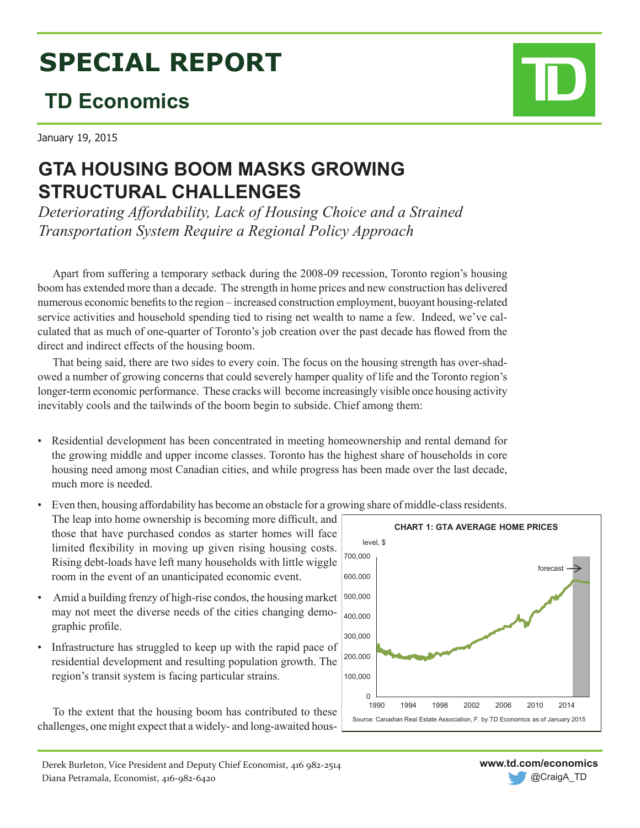# **SPECIAL REPORT**

# **TD Economics**

January 19, 2015

# **GTA HOUSING BOOM MASKS GROWING STRUCTURAL CHALLENGES**

*Deteriorating Affordability, Lack of Housing Choice and a Strained Transportation System Require a Regional Policy Approach*

Apart from suffering a temporary setback during the 2008-09 recession, Toronto region's housing boom has extended more than a decade. The strength in home prices and new construction has delivered numerous economic benefits to the region – increased construction employment, buoyant housing-related service activities and household spending tied to rising net wealth to name a few. Indeed, we've calculated that as much of one-quarter of Toronto's job creation over the past decade has flowed from the direct and indirect effects of the housing boom.

That being said, there are two sides to every coin. The focus on the housing strength has over-shadowed a number of growing concerns that could severely hamper quality of life and the Toronto region's longer-term economic performance. These cracks will become increasingly visible once housing activity inevitably cools and the tailwinds of the boom begin to subside. Chief among them:

- Residential development has been concentrated in meeting homeownership and rental demand for the growing middle and upper income classes. Toronto has the highest share of households in core housing need among most Canadian cities, and while progress has been made over the last decade, much more is needed.
- Even then, housing affordability has become an obstacle for a growing share of middle-class residents.

The leap into home ownership is becoming more difficult, and those that have purchased condos as starter homes will face limited flexibility in moving up given rising housing costs. Rising debt-loads have left many households with little wiggle room in the event of an unanticipated economic event.

- Amid a building frenzy of high-rise condos, the housing market may not meet the diverse needs of the cities changing demographic profile.
- Infrastructure has struggled to keep up with the rapid pace of residential development and resulting population growth. The region's transit system is facing particular strains.

To the extent that the housing boom has contributed to these challenges, one might expect that a widely- and long-awaited hous-



**www.td.com/economics**

@CraigA\_TD

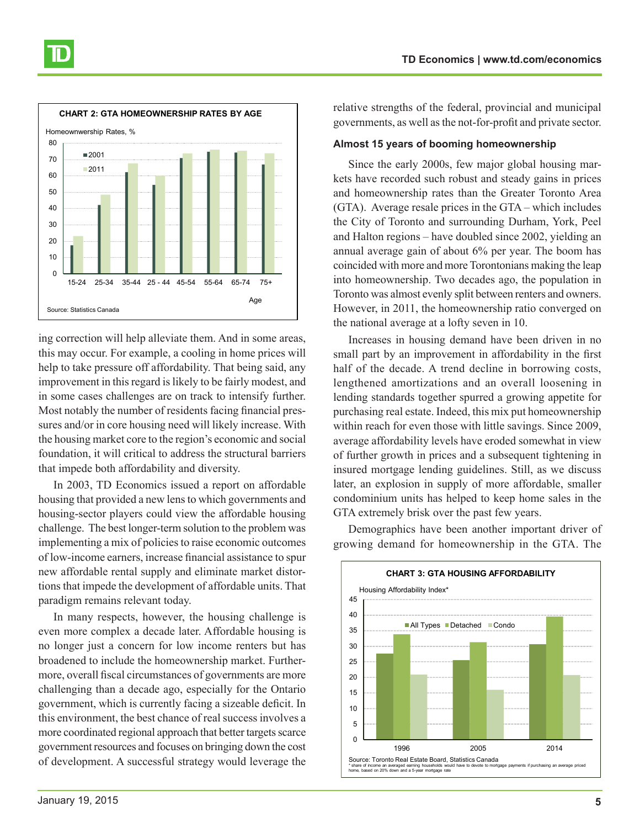

ing correction will help alleviate them. And in some areas, this may occur. For example, a cooling in home prices will help to take pressure off affordability. That being said, any improvement in this regard is likely to be fairly modest, and in some cases challenges are on track to intensify further. Most notably the number of residents facing financial pressures and/or in core housing need will likely increase. With the housing market core to the region's economic and social foundation, it will critical to address the structural barriers that impede both affordability and diversity.

In 2003, TD Economics issued a report on affordable housing that provided a new lens to which governments and housing-sector players could view the affordable housing challenge. The best longer-term solution to the problem was implementing a mix of policies to raise economic outcomes of low-income earners, increase financial assistance to spur new affordable rental supply and eliminate market distortions that impede the development of affordable units. That paradigm remains relevant today.

In many respects, however, the housing challenge is even more complex a decade later. Affordable housing is no longer just a concern for low income renters but has broadened to include the homeownership market. Furthermore, overall fiscal circumstances of governments are more challenging than a decade ago, especially for the Ontario government, which is currently facing a sizeable deficit. In this environment, the best chance of real success involves a more coordinated regional approach that better targets scarce government resources and focuses on bringing down the cost of development. A successful strategy would leverage the relative strengths of the federal, provincial and municipal governments, as well as the not-for-profit and private sector.

#### **Almost 15 years of booming homeownership**

Since the early 2000s, few major global housing markets have recorded such robust and steady gains in prices and homeownership rates than the Greater Toronto Area (GTA). Average resale prices in the GTA – which includes the City of Toronto and surrounding Durham, York, Peel and Halton regions – have doubled since 2002, yielding an annual average gain of about 6% per year. The boom has coincided with more and more Torontonians making the leap into homeownership. Two decades ago, the population in Toronto was almost evenly split between renters and owners. However, in 2011, the homeownership ratio converged on the national average at a lofty seven in 10.

Increases in housing demand have been driven in no small part by an improvement in affordability in the first half of the decade. A trend decline in borrowing costs, lengthened amortizations and an overall loosening in lending standards together spurred a growing appetite for purchasing real estate. Indeed, this mix put homeownership within reach for even those with little savings. Since 2009, average affordability levels have eroded somewhat in view of further growth in prices and a subsequent tightening in insured mortgage lending guidelines. Still, as we discuss later, an explosion in supply of more affordable, smaller condominium units has helped to keep home sales in the GTA extremely brisk over the past few years.

Demographics have been another important driver of growing demand for homeownership in the GTA. The

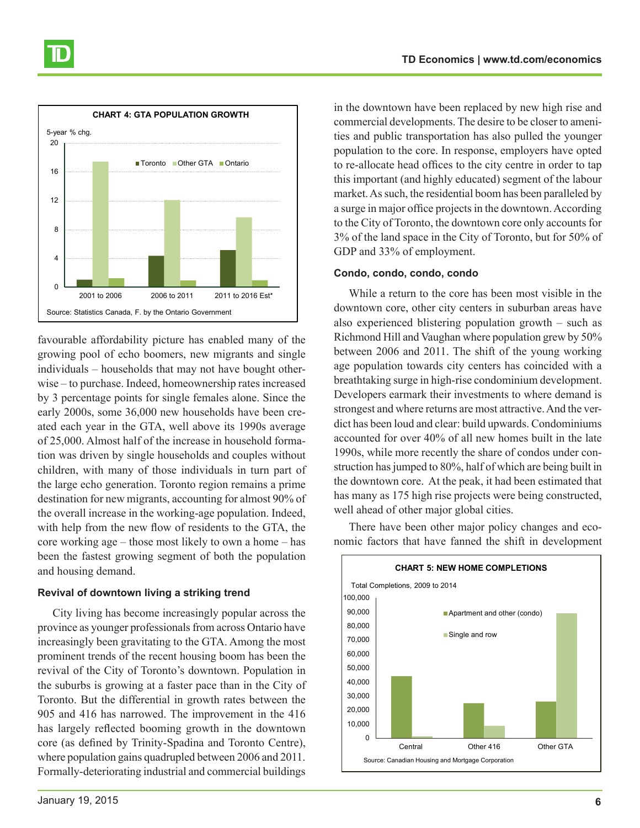

favourable affordability picture has enabled many of the growing pool of echo boomers, new migrants and single individuals – households that may not have bought otherwise – to purchase. Indeed, homeownership rates increased by 3 percentage points for single females alone. Since the early 2000s, some 36,000 new households have been created each year in the GTA, well above its 1990s average of 25,000. Almost half of the increase in household formation was driven by single households and couples without children, with many of those individuals in turn part of the large echo generation. Toronto region remains a prime destination for new migrants, accounting for almost 90% of the overall increase in the working-age population. Indeed, with help from the new flow of residents to the GTA, the core working age – those most likely to own a home – has been the fastest growing segment of both the population and housing demand.

# **Revival of downtown living a striking trend**

City living has become increasingly popular across the province as younger professionals from across Ontario have increasingly been gravitating to the GTA. Among the most prominent trends of the recent housing boom has been the revival of the City of Toronto's downtown. Population in the suburbs is growing at a faster pace than in the City of Toronto. But the differential in growth rates between the 905 and 416 has narrowed. The improvement in the 416 has largely reflected booming growth in the downtown core (as defined by Trinity-Spadina and Toronto Centre), where population gains quadrupled between 2006 and 2011. Formally-deteriorating industrial and commercial buildings

in the downtown have been replaced by new high rise and commercial developments. The desire to be closer to amenities and public transportation has also pulled the younger population to the core. In response, employers have opted to re-allocate head offices to the city centre in order to tap this important (and highly educated) segment of the labour market. As such, the residential boom has been paralleled by a surge in major office projects in the downtown. According to the City of Toronto, the downtown core only accounts for 3% of the land space in the City of Toronto, but for 50% of GDP and 33% of employment.

## **Condo, condo, condo, condo**

While a return to the core has been most visible in the downtown core, other city centers in suburban areas have also experienced blistering population growth – such as Richmond Hill and Vaughan where population grew by 50% between 2006 and 2011. The shift of the young working age population towards city centers has coincided with a breathtaking surge in high-rise condominium development. Developers earmark their investments to where demand is strongest and where returns are most attractive. And the verdict has been loud and clear: build upwards. Condominiums accounted for over 40% of all new homes built in the late 1990s, while more recently the share of condos under construction has jumped to 80%, half of which are being built in the downtown core. At the peak, it had been estimated that has many as 175 high rise projects were being constructed, well ahead of other major global cities.

There have been other major policy changes and economic factors that have fanned the shift in development

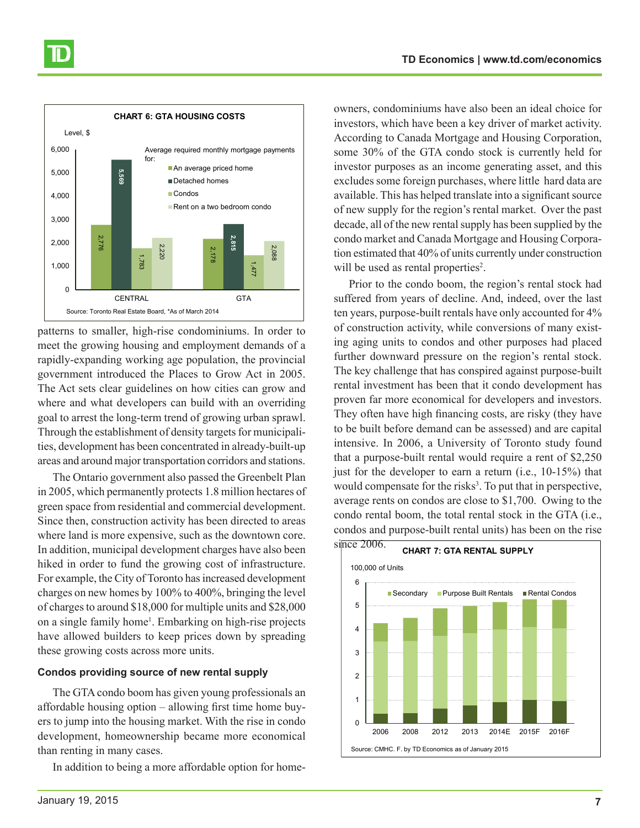

patterns to smaller, high-rise condominiums. In order to meet the growing housing and employment demands of a rapidly-expanding working age population, the provincial government introduced the Places to Grow Act in 2005. The Act sets clear guidelines on how cities can grow and where and what developers can build with an overriding goal to arrest the long-term trend of growing urban sprawl. Through the establishment of density targets for municipalities, development has been concentrated in already-built-up areas and around major transportation corridors and stations.

The Ontario government also passed the Greenbelt Plan in 2005, which permanently protects 1.8 million hectares of green space from residential and commercial development. Since then, construction activity has been directed to areas where land is more expensive, such as the downtown core. In addition, municipal development charges have also been hiked in order to fund the growing cost of infrastructure. For example, the City of Toronto has increased development charges on new homes by 100% to 400%, bringing the level of charges to around \$18,000 for multiple units and \$28,000 on a single family home<sup>1</sup>. Embarking on high-rise projects have allowed builders to keep prices down by spreading these growing costs across more units.

#### **Condos providing source of new rental supply**

The GTA condo boom has given young professionals an affordable housing option – allowing first time home buyers to jump into the housing market. With the rise in condo development, homeownership became more economical than renting in many cases.

In addition to being a more affordable option for home-

owners, condominiums have also been an ideal choice for investors, which have been a key driver of market activity. According to Canada Mortgage and Housing Corporation, some 30% of the GTA condo stock is currently held for investor purposes as an income generating asset, and this excludes some foreign purchases, where little hard data are available. This has helped translate into a significant source of new supply for the region's rental market. Over the past decade, all of the new rental supply has been supplied by the condo market and Canada Mortgage and Housing Corporation estimated that 40% of units currently under construction will be used as rental properties<sup>2</sup>.

Prior to the condo boom, the region's rental stock had suffered from years of decline. And, indeed, over the last ten years, purpose-built rentals have only accounted for 4% of construction activity, while conversions of many existing aging units to condos and other purposes had placed further downward pressure on the region's rental stock. The key challenge that has conspired against purpose-built rental investment has been that it condo development has proven far more economical for developers and investors. They often have high financing costs, are risky (they have to be built before demand can be assessed) and are capital intensive. In 2006, a University of Toronto study found that a purpose-built rental would require a rent of \$2,250 just for the developer to earn a return (i.e., 10-15%) that would compensate for the risks<sup>3</sup>. To put that in perspective, average rents on condos are close to \$1,700. Owing to the condo rental boom, the total rental stock in the GTA (i.e., condos and purpose-built rental units) has been on the rise

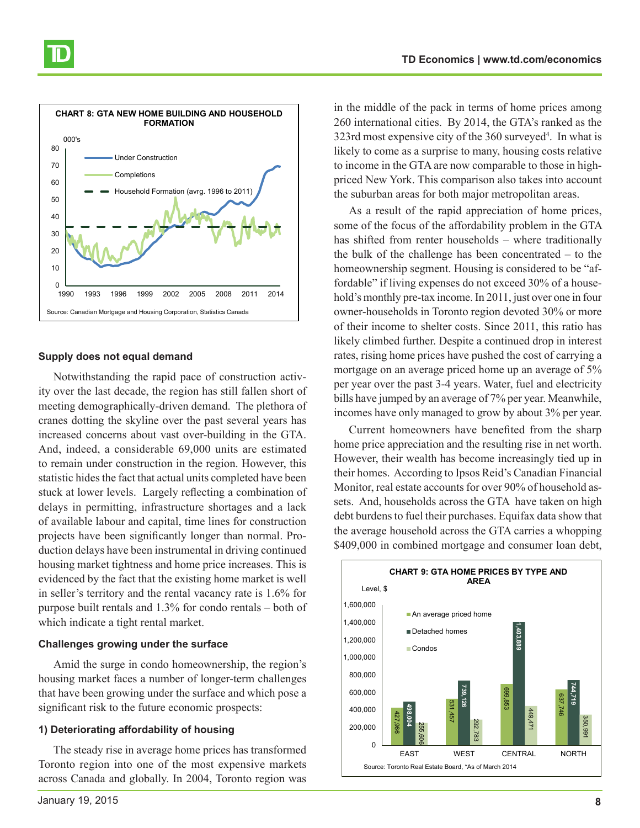

#### **Supply does not equal demand**

Notwithstanding the rapid pace of construction activity over the last decade, the region has still fallen short of meeting demographically-driven demand. The plethora of cranes dotting the skyline over the past several years has increased concerns about vast over-building in the GTA. And, indeed, a considerable 69,000 units are estimated to remain under construction in the region. However, this statistic hides the fact that actual units completed have been stuck at lower levels. Largely reflecting a combination of delays in permitting, infrastructure shortages and a lack of available labour and capital, time lines for construction projects have been significantly longer than normal. Production delays have been instrumental in driving continued housing market tightness and home price increases. This is evidenced by the fact that the existing home market is well in seller's territory and the rental vacancy rate is 1.6% for purpose built rentals and 1.3% for condo rentals – both of which indicate a tight rental market.

#### **Challenges growing under the surface**

Amid the surge in condo homeownership, the region's housing market faces a number of longer-term challenges that have been growing under the surface and which pose a significant risk to the future economic prospects:

## **1) Deteriorating affordability of housing**

The steady rise in average home prices has transformed Toronto region into one of the most expensive markets across Canada and globally. In 2004, Toronto region was

in the middle of the pack in terms of home prices among 260 international cities. By 2014, the GTA's ranked as the 323rd most expensive city of the 360 surveyed<sup>4</sup>. In what is likely to come as a surprise to many, housing costs relative to income in the GTA are now comparable to those in highpriced New York. This comparison also takes into account the suburban areas for both major metropolitan areas.

As a result of the rapid appreciation of home prices, some of the focus of the affordability problem in the GTA has shifted from renter households – where traditionally the bulk of the challenge has been concentrated – to the homeownership segment. Housing is considered to be "affordable" if living expenses do not exceed 30% of a household's monthly pre-tax income. In 2011, just over one in four owner-households in Toronto region devoted 30% or more of their income to shelter costs. Since 2011, this ratio has likely climbed further. Despite a continued drop in interest rates, rising home prices have pushed the cost of carrying a mortgage on an average priced home up an average of 5% per year over the past 3-4 years. Water, fuel and electricity bills have jumped by an average of 7% per year. Meanwhile, incomes have only managed to grow by about 3% per year.

Current homeowners have benefited from the sharp home price appreciation and the resulting rise in net worth. However, their wealth has become increasingly tied up in their homes. According to Ipsos Reid's Canadian Financial Monitor, real estate accounts for over 90% of household assets. And, households across the GTA have taken on high debt burdens to fuel their purchases. Equifax data show that the average household across the GTA carries a whopping \$409,000 in combined mortgage and consumer loan debt,

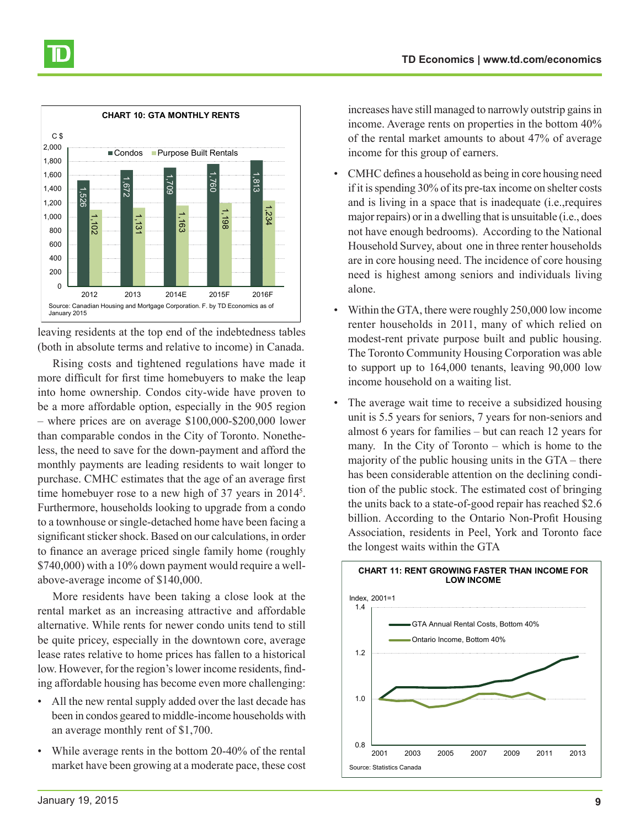

leaving residents at the top end of the indebtedness tables (both in absolute terms and relative to income) in Canada.

Rising costs and tightened regulations have made it more difficult for first time homebuyers to make the leap into home ownership. Condos city-wide have proven to be a more affordable option, especially in the 905 region – where prices are on average \$100,000-\$200,000 lower than comparable condos in the City of Toronto. Nonetheless, the need to save for the down-payment and afford the monthly payments are leading residents to wait longer to purchase. CMHC estimates that the age of an average first time homebuyer rose to a new high of 37 years in 2014<sup>5</sup>. Furthermore, households looking to upgrade from a condo to a townhouse or single-detached home have been facing a significant sticker shock. Based on our calculations, in order to finance an average priced single family home (roughly \$740,000) with a 10% down payment would require a wellabove-average income of \$140,000.

More residents have been taking a close look at the rental market as an increasing attractive and affordable alternative. While rents for newer condo units tend to still be quite pricey, especially in the downtown core, average lease rates relative to home prices has fallen to a historical low. However, for the region's lower income residents, finding affordable housing has become even more challenging:

- All the new rental supply added over the last decade has been in condos geared to middle-income households with an average monthly rent of \$1,700.
- While average rents in the bottom 20-40% of the rental market have been growing at a moderate pace, these cost

increases have still managed to narrowly outstrip gains in income. Average rents on properties in the bottom 40% of the rental market amounts to about 47% of average income for this group of earners.

- CMHC defines a household as being in core housing need if it is spending 30% of its pre-tax income on shelter costs and is living in a space that is inadequate (i.e.,requires major repairs) or in a dwelling that is unsuitable (i.e., does not have enough bedrooms). According to the National Household Survey, about one in three renter households are in core housing need. The incidence of core housing need is highest among seniors and individuals living alone.
- Within the GTA, there were roughly 250,000 low income renter households in 2011, many of which relied on modest-rent private purpose built and public housing. The Toronto Community Housing Corporation was able to support up to 164,000 tenants, leaving 90,000 low income household on a waiting list.
- The average wait time to receive a subsidized housing unit is 5.5 years for seniors, 7 years for non-seniors and almost 6 years for families – but can reach 12 years for many. In the City of Toronto – which is home to the majority of the public housing units in the GTA – there has been considerable attention on the declining condition of the public stock. The estimated cost of bringing the units back to a state-of-good repair has reached \$2.6 billion. According to the Ontario Non-Profit Housing Association, residents in Peel, York and Toronto face the longest waits within the GTA

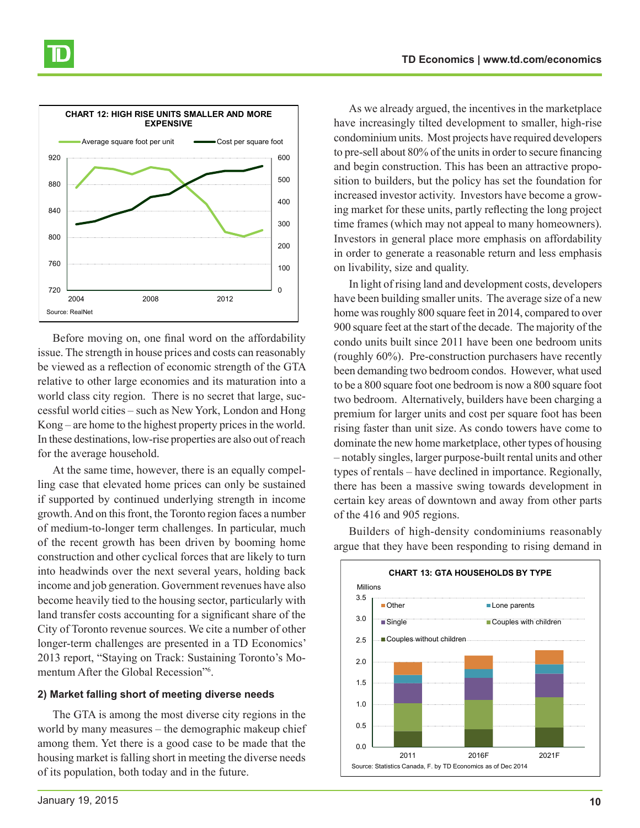

Before moving on, one final word on the affordability issue. The strength in house prices and costs can reasonably be viewed as a reflection of economic strength of the GTA relative to other large economies and its maturation into a world class city region. There is no secret that large, successful world cities – such as New York, London and Hong Kong – are home to the highest property prices in the world. In these destinations, low-rise properties are also out of reach for the average household.

At the same time, however, there is an equally compelling case that elevated home prices can only be sustained if supported by continued underlying strength in income growth. And on this front, the Toronto region faces a number of medium-to-longer term challenges. In particular, much of the recent growth has been driven by booming home construction and other cyclical forces that are likely to turn into headwinds over the next several years, holding back income and job generation. Government revenues have also become heavily tied to the housing sector, particularly with land transfer costs accounting for a significant share of the City of Toronto revenue sources. We cite a number of other longer-term challenges are presented in a TD Economics' 2013 report, "Staying on Track: Sustaining Toronto's Momentum After the Global Recession"<sup>6</sup> .

#### **2) Market falling short of meeting diverse needs**

The GTA is among the most diverse city regions in the world by many measures – the demographic makeup chief among them. Yet there is a good case to be made that the housing market is falling short in meeting the diverse needs of its population, both today and in the future.

As we already argued, the incentives in the marketplace have increasingly tilted development to smaller, high-rise condominium units. Most projects have required developers to pre-sell about 80% of the units in order to secure financing and begin construction. This has been an attractive proposition to builders, but the policy has set the foundation for increased investor activity. Investors have become a growing market for these units, partly reflecting the long project time frames (which may not appeal to many homeowners). Investors in general place more emphasis on affordability in order to generate a reasonable return and less emphasis on livability, size and quality.

In light of rising land and development costs, developers have been building smaller units. The average size of a new home was roughly 800 square feet in 2014, compared to over 900 square feet at the start of the decade. The majority of the condo units built since 2011 have been one bedroom units (roughly 60%). Pre-construction purchasers have recently been demanding two bedroom condos. However, what used to be a 800 square foot one bedroom is now a 800 square foot two bedroom. Alternatively, builders have been charging a premium for larger units and cost per square foot has been rising faster than unit size. As condo towers have come to dominate the new home marketplace, other types of housing – notably singles, larger purpose-built rental units and other types of rentals – have declined in importance. Regionally, there has been a massive swing towards development in certain key areas of downtown and away from other parts of the 416 and 905 regions.

 $0.0$ 0.5 1.0 1.5 2.0 2.5 3.0 3.5 2011 2016F 2021F **CHART 13: GTA HOUSEHOLDS BY TYPE** Other **Lone parents** ■Single Couples with children Couples without children Source: Statistics Canada, F. by TD Economics as of Dec 2014 Millions

Builders of high-density condominiums reasonably argue that they have been responding to rising demand in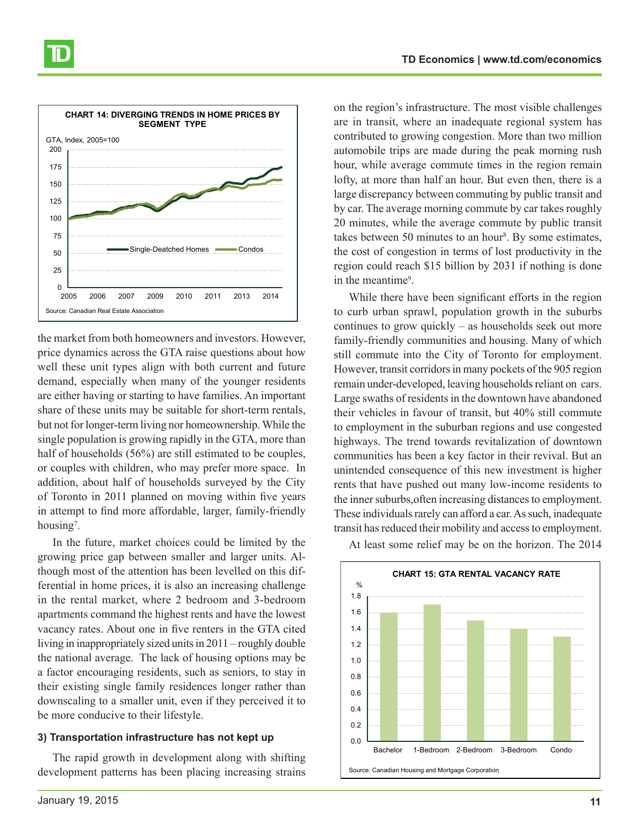

the market from both homeowners and investors. However, price dynamics across the GTA raise questions about how well these unit types align with both current and future demand, especially when many of the younger residents are either having or starting to have families. An important share of these units may be suitable for short-term rentals, but not for longer-term living nor homeownership. While the single population is growing rapidly in the GTA, more than half of households (56%) are still estimated to be couples, or couples with children, who may prefer more space. In addition, about half of households surveyed by the City of Toronto in 2011 planned on moving within five years in attempt to find more affordable, larger, family-friendly housing<sup>7</sup>.

In the future, market choices could be limited by the growing price gap between smaller and larger units. Although most of the attention has been levelled on this differential in home prices, it is also an increasing challenge in the rental market, where 2 bedroom and 3-bedroom apartments command the highest rents and have the lowest vacancy rates. About one in five renters in the GTA cited living in inappropriately sized units in 2011 – roughly double the national average. The lack of housing options may be a factor encouraging residents, such as seniors, to stay in their existing single family residences longer rather than downscaling to a smaller unit, even if they perceived it to be more conducive to their lifestyle.

#### **3) Transportation infrastructure has not kept up**

The rapid growth in development along with shifting development patterns has been placing increasing strains

on the region's infrastructure. The most visible challenges are in transit, where an inadequate regional system has contributed to growing congestion. More than two million automobile trips are made during the peak morning rush hour, while average commute times in the region remain lofty, at more than half an hour. But even then, there is a large discrepancy between commuting by public transit and by car. The average morning commute by car takes roughly 20 minutes, while the average commute by public transit takes between 50 minutes to an hour<sup>8</sup>. By some estimates, the cost of congestion in terms of lost productivity in the region could reach \$15 billion by 2031 if nothing is done in the meantime<sup>9</sup>.

While there have been significant efforts in the region to curb urban sprawl, population growth in the suburbs continues to grow quickly – as households seek out more family-friendly communities and housing. Many of which still commute into the City of Toronto for employment. However, transit corridors in many pockets of the 905 region remain under-developed, leaving households reliant on cars. Large swaths of residents in the downtown have abandoned their vehicles in favour of transit, but 40% still commute to employment in the suburban regions and use congested highways. The trend towards revitalization of downtown communities has been a key factor in their revival. But an unintended consequence of this new investment is higher rents that have pushed out many low-income residents to the inner suburbs,often increasing distances to employment. These individuals rarely can afford a car. As such, inadequate transit has reduced their mobility and access to employment.



At least some relief may be on the horizon. The 2014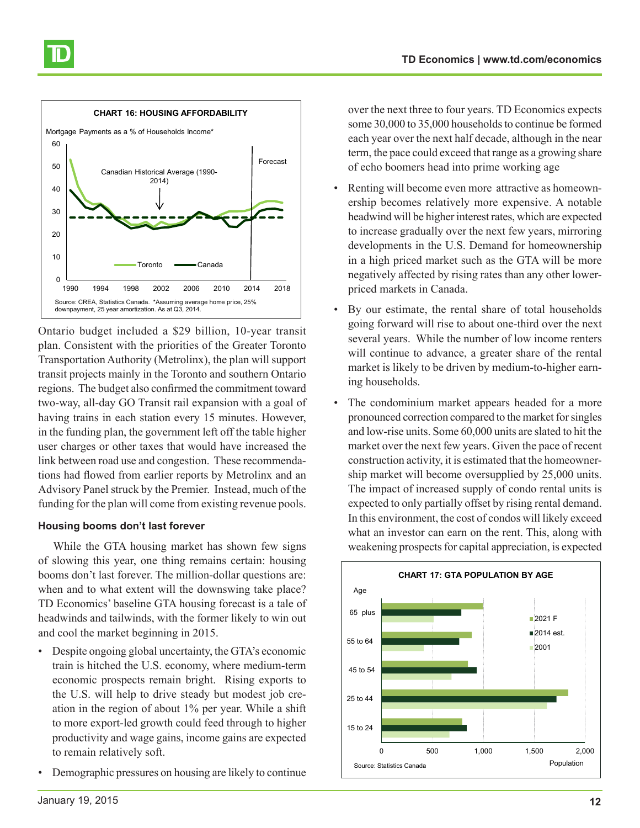#### $\Omega$ 10  $20$ 30 40 50 60 1990 1994 1998 2002 2006 2010 2014 2018 Toronto <del>como</del> Canada Canadian Historical Average (1990- 2014) Source: CREA, Statistics Canada. \*Assuming average home price, 25% downpayment, 25 year amortization. As at Q3, 2014. Mortgage Payments as a % of Households Income\* **CHART 16: HOUSING AFFORDABILITY** Forecast

Ontario budget included a \$29 billion, 10-year transit plan. Consistent with the priorities of the Greater Toronto Transportation Authority (Metrolinx), the plan will support transit projects mainly in the Toronto and southern Ontario regions. The budget also confirmed the commitment toward two-way, all-day GO Transit rail expansion with a goal of having trains in each station every 15 minutes. However, in the funding plan, the government left off the table higher user charges or other taxes that would have increased the link between road use and congestion. These recommendations had flowed from earlier reports by Metrolinx and an Advisory Panel struck by the Premier. Instead, much of the funding for the plan will come from existing revenue pools.

# **Housing booms don't last forever**

While the GTA housing market has shown few signs of slowing this year, one thing remains certain: housing booms don't last forever. The million-dollar questions are: when and to what extent will the downswing take place? TD Economics' baseline GTA housing forecast is a tale of headwinds and tailwinds, with the former likely to win out and cool the market beginning in 2015.

- Despite ongoing global uncertainty, the GTA's economic train is hitched the U.S. economy, where medium-term economic prospects remain bright. Rising exports to the U.S. will help to drive steady but modest job creation in the region of about 1% per year. While a shift to more export-led growth could feed through to higher productivity and wage gains, income gains are expected to remain relatively soft.
- Demographic pressures on housing are likely to continue

over the next three to four years. TD Economics expects some 30,000 to 35,000 households to continue be formed each year over the next half decade, although in the near term, the pace could exceed that range as a growing share of echo boomers head into prime working age

- Renting will become even more attractive as homeownership becomes relatively more expensive. A notable headwind will be higher interest rates, which are expected to increase gradually over the next few years, mirroring developments in the U.S. Demand for homeownership in a high priced market such as the GTA will be more negatively affected by rising rates than any other lowerpriced markets in Canada.
- By our estimate, the rental share of total households going forward will rise to about one-third over the next several years. While the number of low income renters will continue to advance, a greater share of the rental market is likely to be driven by medium-to-higher earning households.
- The condominium market appears headed for a more pronounced correction compared to the market for singles and low-rise units. Some 60,000 units are slated to hit the market over the next few years. Given the pace of recent construction activity, it is estimated that the homeownership market will become oversupplied by 25,000 units. The impact of increased supply of condo rental units is expected to only partially offset by rising rental demand. In this environment, the cost of condos will likely exceed what an investor can earn on the rent. This, along with weakening prospects for capital appreciation, is expected

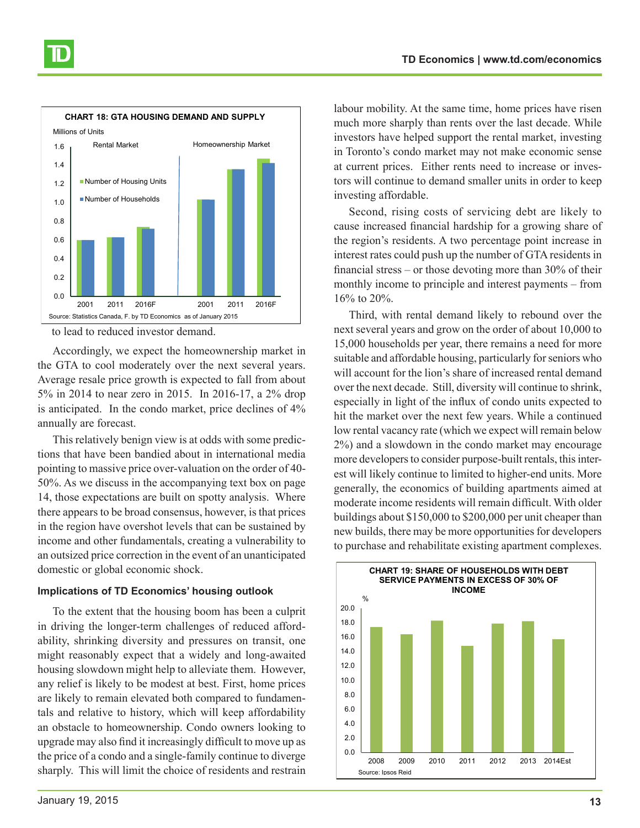

to lead to reduced investor demand.

Accordingly, we expect the homeownership market in the GTA to cool moderately over the next several years. Average resale price growth is expected to fall from about 5% in 2014 to near zero in 2015. In 2016-17, a 2% drop is anticipated. In the condo market, price declines of 4% annually are forecast.

This relatively benign view is at odds with some predictions that have been bandied about in international media pointing to massive price over-valuation on the order of 40- 50%. As we discuss in the accompanying text box on page 14, those expectations are built on spotty analysis. Where there appears to be broad consensus, however, is that prices in the region have overshot levels that can be sustained by income and other fundamentals, creating a vulnerability to an outsized price correction in the event of an unanticipated domestic or global economic shock.

#### **Implications of TD Economics' housing outlook**

To the extent that the housing boom has been a culprit in driving the longer-term challenges of reduced affordability, shrinking diversity and pressures on transit, one might reasonably expect that a widely and long-awaited housing slowdown might help to alleviate them. However, any relief is likely to be modest at best. First, home prices are likely to remain elevated both compared to fundamentals and relative to history, which will keep affordability an obstacle to homeownership. Condo owners looking to upgrade may also find it increasingly difficult to move up as the price of a condo and a single-family continue to diverge sharply. This will limit the choice of residents and restrain

labour mobility. At the same time, home prices have risen much more sharply than rents over the last decade. While investors have helped support the rental market, investing in Toronto's condo market may not make economic sense at current prices. Either rents need to increase or investors will continue to demand smaller units in order to keep investing affordable.

Second, rising costs of servicing debt are likely to cause increased financial hardship for a growing share of the region's residents. A two percentage point increase in interest rates could push up the number of GTA residents in financial stress – or those devoting more than 30% of their monthly income to principle and interest payments – from 16% to 20%.

Third, with rental demand likely to rebound over the next several years and grow on the order of about 10,000 to 15,000 households per year, there remains a need for more suitable and affordable housing, particularly for seniors who will account for the lion's share of increased rental demand over the next decade. Still, diversity will continue to shrink, especially in light of the influx of condo units expected to hit the market over the next few years. While a continued low rental vacancy rate (which we expect will remain below 2%) and a slowdown in the condo market may encourage more developers to consider purpose-built rentals, this interest will likely continue to limited to higher-end units. More generally, the economics of building apartments aimed at moderate income residents will remain difficult. With older buildings about \$150,000 to \$200,000 per unit cheaper than new builds, there may be more opportunities for developers to purchase and rehabilitate existing apartment complexes.

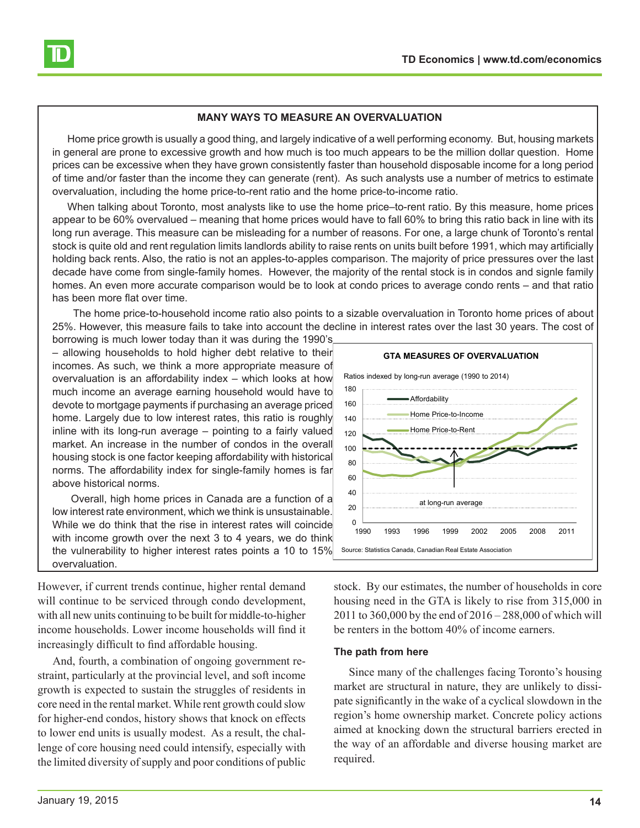

#### **MANY WAYS TO MEASURE AN OVERVALUATION**

Home price growth is usually a good thing, and largely indicative of a well performing economy. But, housing markets in general are prone to excessive growth and how much is too much appears to be the million dollar question. Home prices can be excessive when they have grown consistently faster than household disposable income for a long period of time and/or faster than the income they can generate (rent). As such analysts use a number of metrics to estimate overvaluation, including the home price-to-rent ratio and the home price-to-income ratio.

When talking about Toronto, most analysts like to use the home price–to-rent ratio. By this measure, home prices appear to be 60% overvalued – meaning that home prices would have to fall 60% to bring this ratio back in line with its long run average. This measure can be misleading for a number of reasons. For one, a large chunk of Toronto's rental stock is quite old and rent regulation limits landlords ability to raise rents on units built before 1991, which may artificially holding back rents. Also, the ratio is not an apples-to-apples comparison. The majority of price pressures over the last decade have come from single-family homes. However, the majority of the rental stock is in condos and signle family homes. An even more accurate comparison would be to look at condo prices to average condo rents – and that ratio has been more flat over time.

 The home price-to-household income ratio also points to a sizable overvaluation in Toronto home prices of about 25%. However, this measure fails to take into account the decline in interest rates over the last 30 years. The cost of

borrowing is much lower today than it was during the 1990's – allowing households to hold higher debt relative to their incomes. As such, we think a more appropriate measure of overvaluation is an affordability index – which looks at how much income an average earning household would have to devote to mortgage payments if purchasing an average priced home. Largely due to low interest rates, this ratio is roughly inline with its long-run average – pointing to a fairly valued market. An increase in the number of condos in the overall housing stock is one factor keeping affordability with historical norms. The affordability index for single-family homes is far above historical norms.

 Overall, high home prices in Canada are a function of a low interest rate environment, which we think is unsustainable. While we do think that the rise in interest rates will coincide with income growth over the next 3 to 4 years, we do think the vulnerability to higher interest rates points a 10 to 15% overvaluation.

However, if current trends continue, higher rental demand will continue to be serviced through condo development, with all new units continuing to be built for middle-to-higher income households. Lower income households will find it increasingly difficult to find affordable housing.

And, fourth, a combination of ongoing government restraint, particularly at the provincial level, and soft income growth is expected to sustain the struggles of residents in core need in the rental market. While rent growth could slow for higher-end condos, history shows that knock on effects to lower end units is usually modest. As a result, the challenge of core housing need could intensify, especially with the limited diversity of supply and poor conditions of public



stock. By our estimates, the number of households in core housing need in the GTA is likely to rise from 315,000 in 2011 to 360,000 by the end of 2016 – 288,000 of which will be renters in the bottom 40% of income earners.

#### **The path from here**

Since many of the challenges facing Toronto's housing market are structural in nature, they are unlikely to dissipate significantly in the wake of a cyclical slowdown in the region's home ownership market. Concrete policy actions aimed at knocking down the structural barriers erected in the way of an affordable and diverse housing market are required.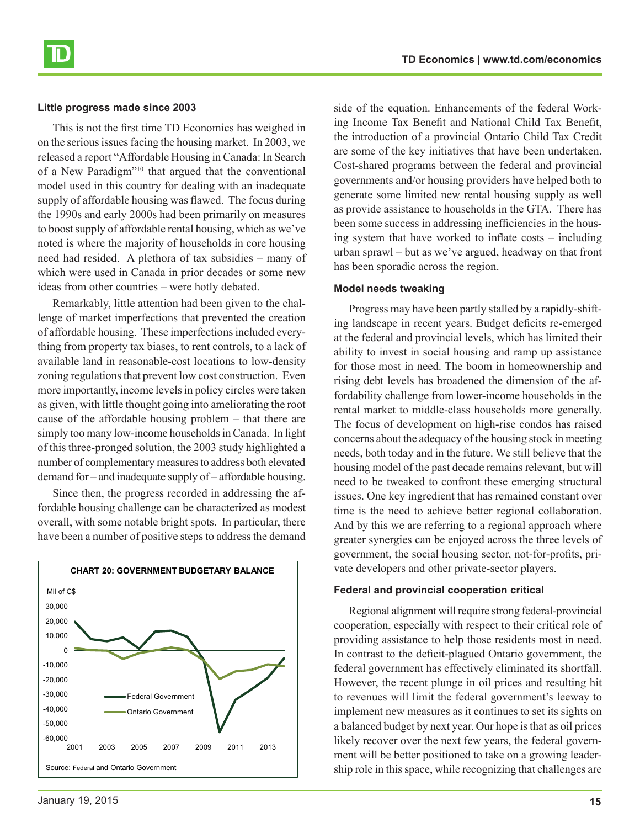#### **Little progress made since 2003**

This is not the first time TD Economics has weighed in on the serious issues facing the housing market. In 2003, we released a report "Affordable Housing in Canada: In Search of a New Paradigm"10 that argued that the conventional model used in this country for dealing with an inadequate supply of affordable housing was flawed. The focus during the 1990s and early 2000s had been primarily on measures to boost supply of affordable rental housing, which as we've noted is where the majority of households in core housing need had resided. A plethora of tax subsidies – many of which were used in Canada in prior decades or some new ideas from other countries – were hotly debated.

Remarkably, little attention had been given to the challenge of market imperfections that prevented the creation of affordable housing. These imperfections included everything from property tax biases, to rent controls, to a lack of available land in reasonable-cost locations to low-density zoning regulations that prevent low cost construction. Even more importantly, income levels in policy circles were taken as given, with little thought going into ameliorating the root cause of the affordable housing problem – that there are simply too many low-income households in Canada. In light of this three-pronged solution, the 2003 study highlighted a number of complementary measures to address both elevated demand for – and inadequate supply of – affordable housing.

Since then, the progress recorded in addressing the affordable housing challenge can be characterized as modest overall, with some notable bright spots. In particular, there have been a number of positive steps to address the demand



side of the equation. Enhancements of the federal Working Income Tax Benefit and National Child Tax Benefit, the introduction of a provincial Ontario Child Tax Credit are some of the key initiatives that have been undertaken. Cost-shared programs between the federal and provincial governments and/or housing providers have helped both to generate some limited new rental housing supply as well as provide assistance to households in the GTA. There has been some success in addressing inefficiencies in the housing system that have worked to inflate costs – including urban sprawl – but as we've argued, headway on that front has been sporadic across the region.

#### **Model needs tweaking**

Progress may have been partly stalled by a rapidly-shifting landscape in recent years. Budget deficits re-emerged at the federal and provincial levels, which has limited their ability to invest in social housing and ramp up assistance for those most in need. The boom in homeownership and rising debt levels has broadened the dimension of the affordability challenge from lower-income households in the rental market to middle-class households more generally. The focus of development on high-rise condos has raised concerns about the adequacy of the housing stock in meeting needs, both today and in the future. We still believe that the housing model of the past decade remains relevant, but will need to be tweaked to confront these emerging structural issues. One key ingredient that has remained constant over time is the need to achieve better regional collaboration. And by this we are referring to a regional approach where greater synergies can be enjoyed across the three levels of government, the social housing sector, not-for-profits, private developers and other private-sector players.

#### **Federal and provincial cooperation critical**

Regional alignment will require strong federal-provincial cooperation, especially with respect to their critical role of providing assistance to help those residents most in need. In contrast to the deficit-plagued Ontario government, the federal government has effectively eliminated its shortfall. However, the recent plunge in oil prices and resulting hit to revenues will limit the federal government's leeway to implement new measures as it continues to set its sights on a balanced budget by next year. Our hope is that as oil prices likely recover over the next few years, the federal government will be better positioned to take on a growing leadership role in this space, while recognizing that challenges are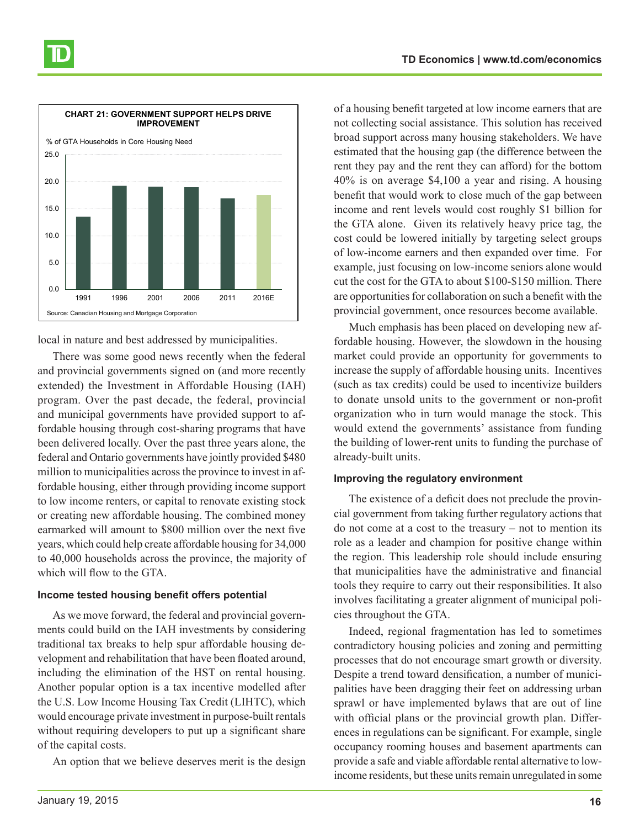

local in nature and best addressed by municipalities.

There was some good news recently when the federal and provincial governments signed on (and more recently extended) the Investment in Affordable Housing (IAH) program. Over the past decade, the federal, provincial and municipal governments have provided support to affordable housing through cost-sharing programs that have been delivered locally. Over the past three years alone, the federal and Ontario governments have jointly provided \$480 million to municipalities across the province to invest in affordable housing, either through providing income support to low income renters, or capital to renovate existing stock or creating new affordable housing. The combined money earmarked will amount to \$800 million over the next five years, which could help create affordable housing for 34,000 to 40,000 households across the province, the majority of which will flow to the GTA.

#### **Income tested housing benefit offers potential**

As we move forward, the federal and provincial governments could build on the IAH investments by considering traditional tax breaks to help spur affordable housing development and rehabilitation that have been floated around, including the elimination of the HST on rental housing. Another popular option is a tax incentive modelled after the U.S. Low Income Housing Tax Credit (LIHTC), which would encourage private investment in purpose-built rentals without requiring developers to put up a significant share of the capital costs.

An option that we believe deserves merit is the design

of a housing benefit targeted at low income earners that are not collecting social assistance. This solution has received broad support across many housing stakeholders. We have estimated that the housing gap (the difference between the rent they pay and the rent they can afford) for the bottom 40% is on average \$4,100 a year and rising. A housing benefit that would work to close much of the gap between income and rent levels would cost roughly \$1 billion for the GTA alone. Given its relatively heavy price tag, the cost could be lowered initially by targeting select groups of low-income earners and then expanded over time. For example, just focusing on low-income seniors alone would cut the cost for the GTA to about \$100-\$150 million. There are opportunities for collaboration on such a benefit with the provincial government, once resources become available.

Much emphasis has been placed on developing new affordable housing. However, the slowdown in the housing market could provide an opportunity for governments to increase the supply of affordable housing units. Incentives (such as tax credits) could be used to incentivize builders to donate unsold units to the government or non-profit organization who in turn would manage the stock. This would extend the governments' assistance from funding the building of lower-rent units to funding the purchase of already-built units.

#### **Improving the regulatory environment**

The existence of a deficit does not preclude the provincial government from taking further regulatory actions that do not come at a cost to the treasury – not to mention its role as a leader and champion for positive change within the region. This leadership role should include ensuring that municipalities have the administrative and financial tools they require to carry out their responsibilities. It also involves facilitating a greater alignment of municipal policies throughout the GTA.

Indeed, regional fragmentation has led to sometimes contradictory housing policies and zoning and permitting processes that do not encourage smart growth or diversity. Despite a trend toward densification, a number of municipalities have been dragging their feet on addressing urban sprawl or have implemented bylaws that are out of line with official plans or the provincial growth plan. Differences in regulations can be significant. For example, single occupancy rooming houses and basement apartments can provide a safe and viable affordable rental alternative to lowincome residents, but these units remain unregulated in some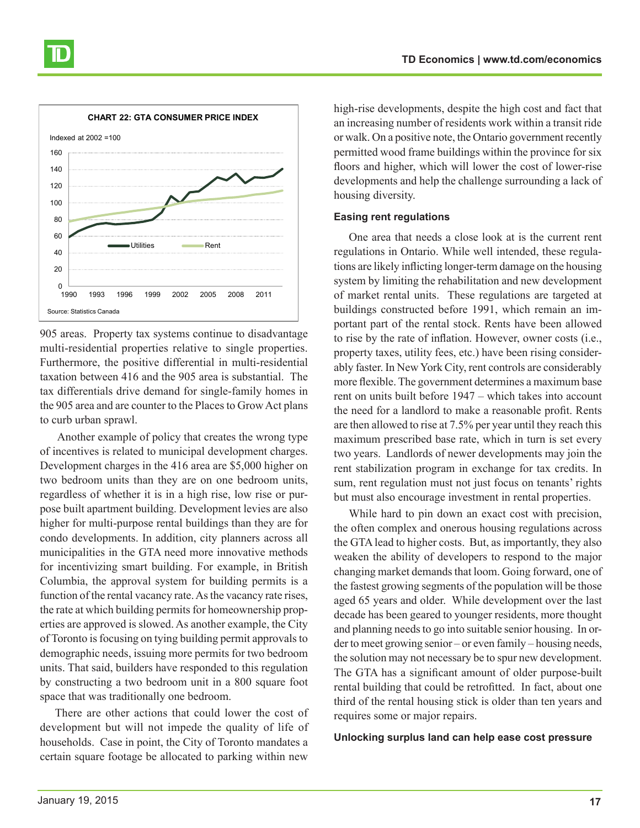

905 areas. Property tax systems continue to disadvantage multi-residential properties relative to single properties. Furthermore, the positive differential in multi-residential taxation between 416 and the 905 area is substantial. The tax differentials drive demand for single-family homes in the 905 area and are counter to the Places to Grow Act plans to curb urban sprawl.

 Another example of policy that creates the wrong type of incentives is related to municipal development charges. Development charges in the 416 area are \$5,000 higher on two bedroom units than they are on one bedroom units, regardless of whether it is in a high rise, low rise or purpose built apartment building. Development levies are also higher for multi-purpose rental buildings than they are for condo developments. In addition, city planners across all municipalities in the GTA need more innovative methods for incentivizing smart building. For example, in British Columbia, the approval system for building permits is a function of the rental vacancy rate. As the vacancy rate rises, the rate at which building permits for homeownership properties are approved is slowed. As another example, the City of Toronto is focusing on tying building permit approvals to demographic needs, issuing more permits for two bedroom units. That said, builders have responded to this regulation by constructing a two bedroom unit in a 800 square foot space that was traditionally one bedroom.

There are other actions that could lower the cost of development but will not impede the quality of life of households. Case in point, the City of Toronto mandates a certain square footage be allocated to parking within new

high-rise developments, despite the high cost and fact that an increasing number of residents work within a transit ride or walk. On a positive note, the Ontario government recently permitted wood frame buildings within the province for six floors and higher, which will lower the cost of lower-rise developments and help the challenge surrounding a lack of housing diversity.

#### **Easing rent regulations**

One area that needs a close look at is the current rent regulations in Ontario. While well intended, these regulations are likely inflicting longer-term damage on the housing system by limiting the rehabilitation and new development of market rental units. These regulations are targeted at buildings constructed before 1991, which remain an important part of the rental stock. Rents have been allowed to rise by the rate of inflation. However, owner costs (i.e., property taxes, utility fees, etc.) have been rising considerably faster. In New York City, rent controls are considerably more flexible. The government determines a maximum base rent on units built before 1947 – which takes into account the need for a landlord to make a reasonable profit. Rents are then allowed to rise at 7.5% per year until they reach this maximum prescribed base rate, which in turn is set every two years. Landlords of newer developments may join the rent stabilization program in exchange for tax credits. In sum, rent regulation must not just focus on tenants' rights but must also encourage investment in rental properties.

While hard to pin down an exact cost with precision, the often complex and onerous housing regulations across the GTA lead to higher costs. But, as importantly, they also weaken the ability of developers to respond to the major changing market demands that loom. Going forward, one of the fastest growing segments of the population will be those aged 65 years and older. While development over the last decade has been geared to younger residents, more thought and planning needs to go into suitable senior housing. In order to meet growing senior – or even family – housing needs, the solution may not necessary be to spur new development. The GTA has a significant amount of older purpose-built rental building that could be retrofitted. In fact, about one third of the rental housing stick is older than ten years and requires some or major repairs.

#### **Unlocking surplus land can help ease cost pressure**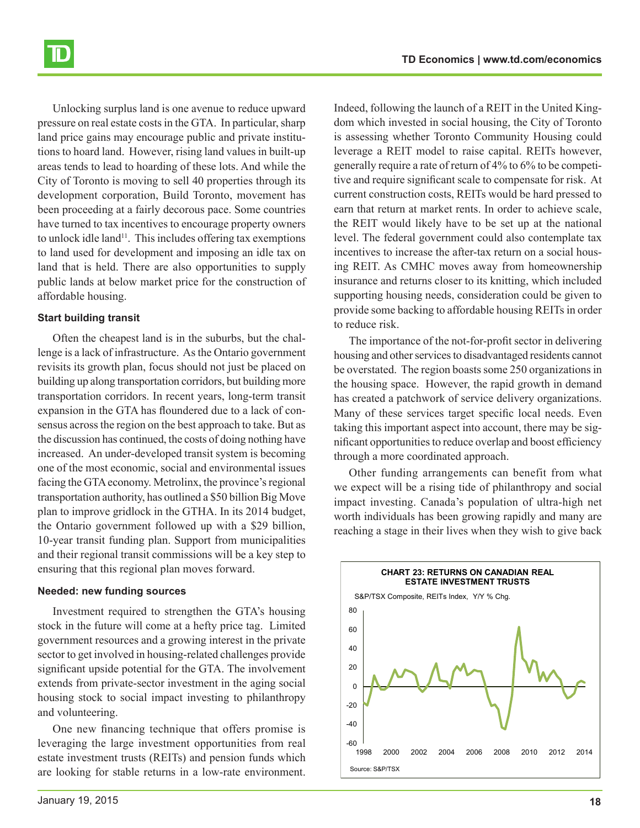Unlocking surplus land is one avenue to reduce upward pressure on real estate costs in the GTA. In particular, sharp land price gains may encourage public and private institutions to hoard land. However, rising land values in built-up areas tends to lead to hoarding of these lots. And while the City of Toronto is moving to sell 40 properties through its development corporation, Build Toronto, movement has been proceeding at a fairly decorous pace. Some countries have turned to tax incentives to encourage property owners to unlock idle land<sup>11</sup>. This includes offering tax exemptions to land used for development and imposing an idle tax on land that is held. There are also opportunities to supply public lands at below market price for the construction of affordable housing.

#### **Start building transit**

Often the cheapest land is in the suburbs, but the challenge is a lack of infrastructure. As the Ontario government revisits its growth plan, focus should not just be placed on building up along transportation corridors, but building more transportation corridors. In recent years, long-term transit expansion in the GTA has floundered due to a lack of consensus across the region on the best approach to take. But as the discussion has continued, the costs of doing nothing have increased. An under-developed transit system is becoming one of the most economic, social and environmental issues facing the GTA economy. Metrolinx, the province's regional transportation authority, has outlined a \$50 billion Big Move plan to improve gridlock in the GTHA. In its 2014 budget, the Ontario government followed up with a \$29 billion, 10-year transit funding plan. Support from municipalities and their regional transit commissions will be a key step to ensuring that this regional plan moves forward.

#### **Needed: new funding sources**

Investment required to strengthen the GTA's housing stock in the future will come at a hefty price tag. Limited government resources and a growing interest in the private sector to get involved in housing-related challenges provide significant upside potential for the GTA. The involvement extends from private-sector investment in the aging social housing stock to social impact investing to philanthropy and volunteering.

One new financing technique that offers promise is leveraging the large investment opportunities from real estate investment trusts (REITs) and pension funds which are looking for stable returns in a low-rate environment.

Indeed, following the launch of a REIT in the United Kingdom which invested in social housing, the City of Toronto is assessing whether Toronto Community Housing could leverage a REIT model to raise capital. REITs however, generally require a rate of return of 4% to 6% to be competitive and require significant scale to compensate for risk. At current construction costs, REITs would be hard pressed to earn that return at market rents. In order to achieve scale, the REIT would likely have to be set up at the national level. The federal government could also contemplate tax incentives to increase the after-tax return on a social housing REIT. As CMHC moves away from homeownership insurance and returns closer to its knitting, which included supporting housing needs, consideration could be given to provide some backing to affordable housing REITs in order to reduce risk.

The importance of the not-for-profit sector in delivering housing and other services to disadvantaged residents cannot be overstated. The region boasts some 250 organizations in the housing space. However, the rapid growth in demand has created a patchwork of service delivery organizations. Many of these services target specific local needs. Even taking this important aspect into account, there may be significant opportunities to reduce overlap and boost efficiency through a more coordinated approach.

Other funding arrangements can benefit from what we expect will be a rising tide of philanthropy and social impact investing. Canada's population of ultra-high net worth individuals has been growing rapidly and many are reaching a stage in their lives when they wish to give back

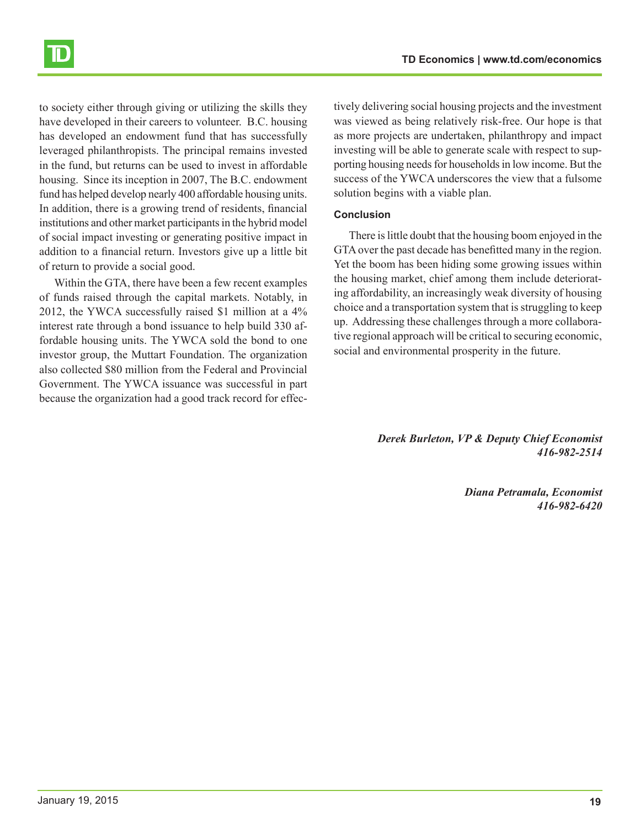

to society either through giving or utilizing the skills they have developed in their careers to volunteer. B.C. housing has developed an endowment fund that has successfully leveraged philanthropists. The principal remains invested in the fund, but returns can be used to invest in affordable housing. Since its inception in 2007, The B.C. endowment fund has helped develop nearly 400 affordable housing units. In addition, there is a growing trend of residents, financial institutions and other market participants in the hybrid model of social impact investing or generating positive impact in addition to a financial return. Investors give up a little bit of return to provide a social good.

Within the GTA, there have been a few recent examples of funds raised through the capital markets. Notably, in 2012, the YWCA successfully raised \$1 million at a 4% interest rate through a bond issuance to help build 330 affordable housing units. The YWCA sold the bond to one investor group, the Muttart Foundation. The organization also collected \$80 million from the Federal and Provincial Government. The YWCA issuance was successful in part because the organization had a good track record for effec-

tively delivering social housing projects and the investment was viewed as being relatively risk-free. Our hope is that as more projects are undertaken, philanthropy and impact investing will be able to generate scale with respect to supporting housing needs for households in low income. But the success of the YWCA underscores the view that a fulsome solution begins with a viable plan.

#### **Conclusion**

There is little doubt that the housing boom enjoyed in the GTA over the past decade has benefitted many in the region. Yet the boom has been hiding some growing issues within the housing market, chief among them include deteriorating affordability, an increasingly weak diversity of housing choice and a transportation system that is struggling to keep up. Addressing these challenges through a more collaborative regional approach will be critical to securing economic, social and environmental prosperity in the future.

> *Derek Burleton, VP & Deputy Chief Economist 416-982-2514*

> > *Diana Petramala, Economist 416-982-6420*